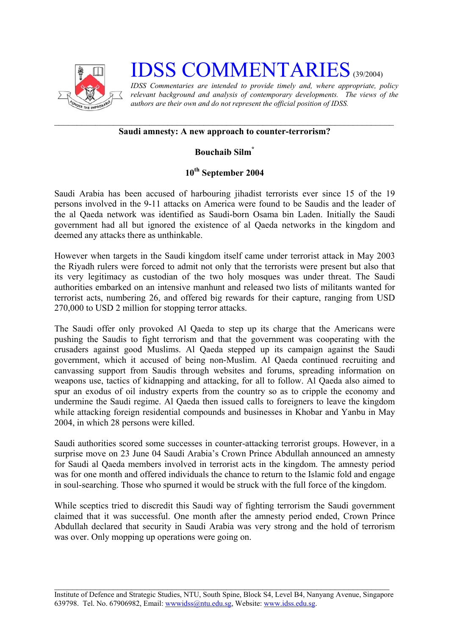

# **IDSS COMMENTARIES** (39/2004)

*IDSS Commentaries are intended to provide timely and, where appropriate, policy relevant background and analysis of contemporary developments. The views of the authors are their own and do not represent the official position of IDSS.* 

## **Saudi amnesty: A new approach to counter-terrorism?**

## **Bouchaib Sil[m\\*](#page-2-0)**

# **10th September 2004**

Saudi Arabia has been accused of harbouring jihadist terrorists ever since 15 of the 19 persons involved in the 9-11 attacks on America were found to be Saudis and the leader of the al Qaeda network was identified as Saudi-born Osama bin Laden. Initially the Saudi government had all but ignored the existence of al Qaeda networks in the kingdom and deemed any attacks there as unthinkable.

However when targets in the Saudi kingdom itself came under terrorist attack in May 2003 the Riyadh rulers were forced to admit not only that the terrorists were present but also that its very legitimacy as custodian of the two holy mosques was under threat. The Saudi authorities embarked on an intensive manhunt and released two lists of militants wanted for terrorist acts, numbering 26, and offered big rewards for their capture, ranging from USD 270,000 to USD 2 million for stopping terror attacks.

The Saudi offer only provoked Al Qaeda to step up its charge that the Americans were pushing the Saudis to fight terrorism and that the government was cooperating with the crusaders against good Muslims. Al Qaeda stepped up its campaign against the Saudi government, which it accused of being non-Muslim. Al Qaeda continued recruiting and canvassing support from Saudis through websites and forums, spreading information on weapons use, tactics of kidnapping and attacking, for all to follow. Al Qaeda also aimed to spur an exodus of oil industry experts from the country so as to cripple the economy and undermine the Saudi regime. Al Qaeda then issued calls to foreigners to leave the kingdom while attacking foreign residential compounds and businesses in Khobar and Yanbu in May 2004, in which 28 persons were killed.

Saudi authorities scored some successes in counter-attacking terrorist groups. However, in a surprise move on 23 June 04 Saudi Arabia's Crown Prince Abdullah announced an amnesty for Saudi al Qaeda members involved in terrorist acts in the kingdom. The amnesty period was for one month and offered individuals the chance to return to the Islamic fold and engage in soul-searching. Those who spurned it would be struck with the full force of the kingdom.

While sceptics tried to discredit this Saudi way of fighting terrorism the Saudi government claimed that it was successful. One month after the amnesty period ended, Crown Prince Abdullah declared that security in Saudi Arabia was very strong and the hold of terrorism was over. Only mopping up operations were going on.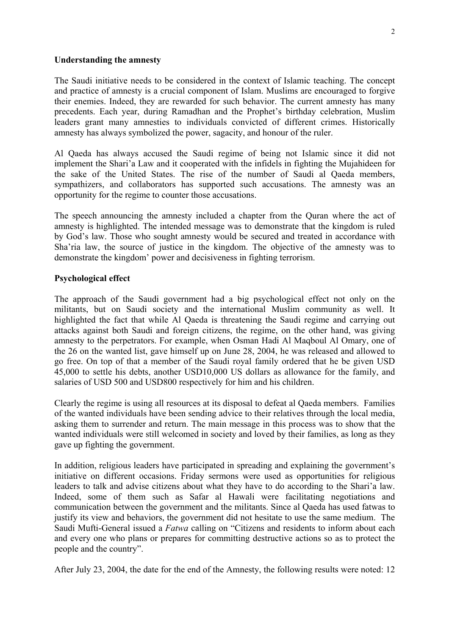#### **Understanding the amnesty**

The Saudi initiative needs to be considered in the context of Islamic teaching. The concept and practice of amnesty is a crucial component of Islam. Muslims are encouraged to forgive their enemies. Indeed, they are rewarded for such behavior. The current amnesty has many precedents. Each year, during Ramadhan and the Prophet's birthday celebration, Muslim leaders grant many amnesties to individuals convicted of different crimes. Historically amnesty has always symbolized the power, sagacity, and honour of the ruler.

Al Qaeda has always accused the Saudi regime of being not Islamic since it did not implement the Shari'a Law and it cooperated with the infidels in fighting the Mujahideen for the sake of the United States. The rise of the number of Saudi al Qaeda members, sympathizers, and collaborators has supported such accusations. The amnesty was an opportunity for the regime to counter those accusations.

The speech announcing the amnesty included a chapter from the Quran where the act of amnesty is highlighted. The intended message was to demonstrate that the kingdom is ruled by God's law. Those who sought amnesty would be secured and treated in accordance with Sha'ria law, the source of justice in the kingdom. The objective of the amnesty was to demonstrate the kingdom' power and decisiveness in fighting terrorism.

### **Psychological effect**

The approach of the Saudi government had a big psychological effect not only on the militants, but on Saudi society and the international Muslim community as well. It highlighted the fact that while Al Qaeda is threatening the Saudi regime and carrying out attacks against both Saudi and foreign citizens, the regime, on the other hand, was giving amnesty to the perpetrators. For example, when Osman Hadi Al Maqboul Al Omary, one of the 26 on the wanted list, gave himself up on June 28, 2004, he was released and allowed to go free. On top of that a member of the Saudi royal family ordered that he be given USD 45,000 to settle his debts, another USD10,000 US dollars as allowance for the family, and salaries of USD 500 and USD800 respectively for him and his children.

Clearly the regime is using all resources at its disposal to defeat al Qaeda members. Families of the wanted individuals have been sending advice to their relatives through the local media, asking them to surrender and return. The main message in this process was to show that the wanted individuals were still welcomed in society and loved by their families, as long as they gave up fighting the government.

In addition, religious leaders have participated in spreading and explaining the government's initiative on different occasions. Friday sermons were used as opportunities for religious leaders to talk and advise citizens about what they have to do according to the Shari'a law. Indeed, some of them such as Safar al Hawali were facilitating negotiations and communication between the government and the militants. Since al Qaeda has used fatwas to justify its view and behaviors, the government did not hesitate to use the same medium. The Saudi Mufti-General issued a *Fatwa* calling on "Citizens and residents to inform about each and every one who plans or prepares for committing destructive actions so as to protect the people and the country".

After July 23, 2004, the date for the end of the Amnesty, the following results were noted: 12